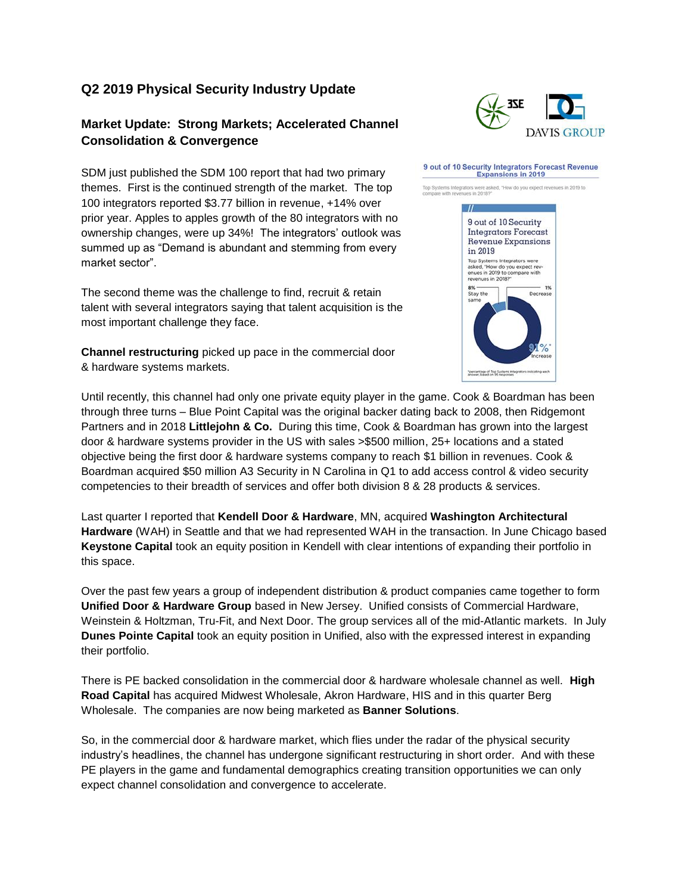# **Q2 2019 Physical Security Industry Update**

## **Market Update: Strong Markets; Accelerated Channel Consolidation & Convergence**

SDM just published the SDM 100 report that had two primary themes. First is the continued strength of the market. The top 100 integrators reported \$3.77 billion in revenue, +14% over prior year. Apples to apples growth of the 80 integrators with no ownership changes, were up 34%! The integrators' outlook was summed up as "Demand is abundant and stemming from every market sector".

The second theme was the challenge to find, recruit & retain talent with several integrators saying that talent acquisition is the most important challenge they face.

**Channel restructuring** picked up pace in the commercial door & hardware systems markets.

Until recently, this channel had only one private equity player in the game. Cook & Boardman has been through three turns – Blue Point Capital was the original backer dating back to 2008, then Ridgemont Partners and in 2018 **Littlejohn & Co.** During this time, Cook & Boardman has grown into the largest door & hardware systems provider in the US with sales >\$500 million, 25+ locations and a stated objective being the first door & hardware systems company to reach \$1 billion in revenues. Cook & Boardman acquired \$50 million A3 Security in N Carolina in Q1 to add access control & video security competencies to their breadth of services and offer both division 8 & 28 products & services.

Last quarter I reported that **Kendell Door & Hardware**, MN, acquired **Washington Architectural Hardware** (WAH) in Seattle and that we had represented WAH in the transaction. In June Chicago based **Keystone Capital** took an equity position in Kendell with clear intentions of expanding their portfolio in this space.

Over the past few years a group of independent distribution & product companies came together to form **Unified Door & Hardware Group** based in New Jersey. Unified consists of Commercial Hardware, Weinstein & Holtzman, Tru-Fit, and Next Door. The group services all of the mid-Atlantic markets. In July **Dunes Pointe Capital** took an equity position in Unified, also with the expressed interest in expanding their portfolio.

There is PE backed consolidation in the commercial door & hardware wholesale channel as well. **High Road Capital** has acquired Midwest Wholesale, Akron Hardware, HIS and in this quarter Berg Wholesale. The companies are now being marketed as **Banner Solutions**.

So, in the commercial door & hardware market, which flies under the radar of the physical security industry's headlines, the channel has undergone significant restructuring in short order. And with these PE players in the game and fundamental demographics creating transition opportunities we can only expect channel consolidation and convergence to accelerate.



#### 9 out of 10 Security Integrators Forecast Revenue **Expansions in 2019**

Top Systems Integrators were as<br>compare with revenues in 2018? re asked. "How do you expect revenues in 2019 to

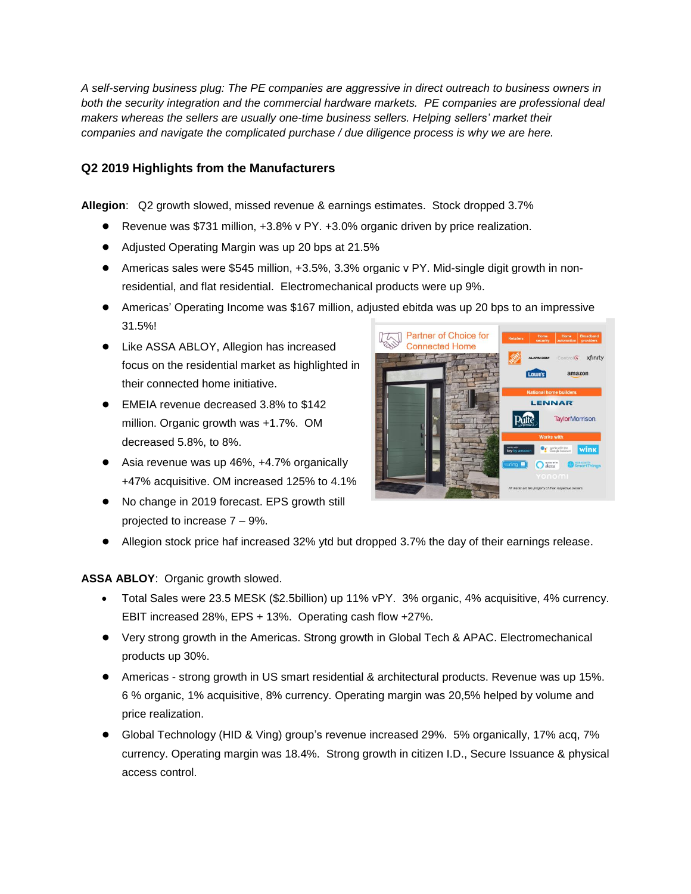*A self-serving business plug: The PE companies are aggressive in direct outreach to business owners in both the security integration and the commercial hardware markets. PE companies are professional deal makers whereas the sellers are usually one-time business sellers. Helping sellers' market their companies and navigate the complicated purchase / due diligence process is why we are here.* 

## **Q2 2019 Highlights from the Manufacturers**

**Allegion**: Q2 growth slowed, missed revenue & earnings estimates. Stock dropped 3.7%

- Revenue was \$731 million, +3.8% v PY. +3.0% organic driven by price realization.
- Adjusted Operating Margin was up 20 bps at 21.5%
- Americas sales were \$545 million, +3.5%, 3.3% organic v PY. Mid-single digit growth in nonresidential, and flat residential. Electromechanical products were up 9%.
- Americas' Operating Income was \$167 million, adjusted ebitda was up 20 bps to an impressive 31.5%!
- Like ASSA ABLOY, Allegion has increased focus on the residential market as highlighted in their connected home initiative.
- EMEIA revenue decreased 3.8% to \$142 million. Organic growth was +1.7%. OM decreased 5.8%, to 8%.
- Asia revenue was up 46%, +4.7% organically +47% acquisitive. OM increased 125% to 4.1%
- No change in 2019 forecast. EPS growth still projected to increase 7 – 9%.



● Allegion stock price haf increased 32% ytd but dropped 3.7% the day of their earnings release.

**ASSA ABLOY**: Organic growth slowed.

- Total Sales were 23.5 MESK (\$2.5billion) up 11% vPY. 3% organic, 4% acquisitive, 4% currency. EBIT increased 28%, EPS + 13%. Operating cash flow +27%.
- Very strong growth in the Americas. Strong growth in Global Tech & APAC. Electromechanical products up 30%.
- Americas strong growth in US smart residential & architectural products. Revenue was up 15%. 6 % organic, 1% acquisitive, 8% currency. Operating margin was 20,5% helped by volume and price realization.
- Global Technology (HID & Ving) group's revenue increased 29%. 5% organically, 17% acq, 7% currency. Operating margin was 18.4%. Strong growth in citizen I.D., Secure Issuance & physical access control.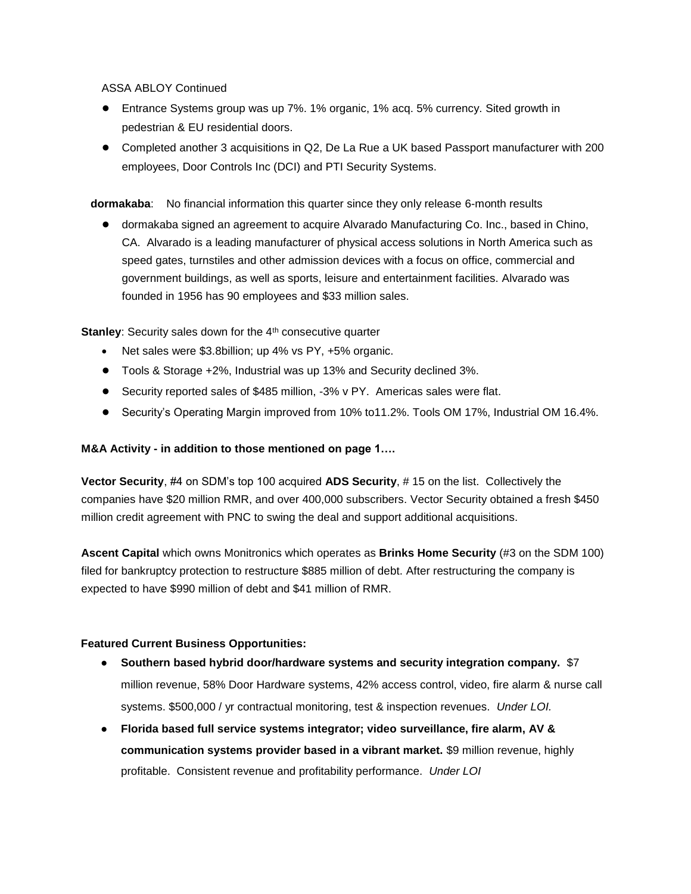ASSA ABLOY Continued

- Entrance Systems group was up 7%. 1% organic, 1% acq. 5% currency. Sited growth in pedestrian & EU residential doors.
- Completed another 3 acquisitions in Q2, De La Rue a UK based Passport manufacturer with 200 employees, Door Controls Inc (DCI) and PTI Security Systems.

**dormakaba**: No financial information this quarter since they only release 6-month results

● dormakaba signed an agreement to acquire Alvarado Manufacturing Co. Inc., based in Chino, CA. Alvarado is a leading manufacturer of physical access solutions in North America such as speed gates, turnstiles and other admission devices with a focus on office, commercial and government buildings, as well as sports, leisure and entertainment facilities. Alvarado was founded in 1956 has 90 employees and \$33 million sales.

**Stanley:** Security sales down for the 4<sup>th</sup> consecutive quarter

- Net sales were \$3.8billion; up 4% vs PY, +5% organic.
- Tools & Storage +2%, Industrial was up 13% and Security declined 3%.
- Security reported sales of \$485 million, -3% v PY. Americas sales were flat.
- Security's Operating Margin improved from 10% to11.2%. Tools OM 17%, Industrial OM 16.4%.

### **M&A Activity - in addition to those mentioned on page 1….**

**Vector Security**, #4 on SDM's top 100 acquired **ADS Security**, # 15 on the list. Collectively the companies have \$20 million RMR, and over 400,000 subscribers. Vector Security obtained a fresh \$450 million credit agreement with PNC to swing the deal and support additional acquisitions.

**Ascent Capital** which owns Monitronics which operates as **Brinks Home Security** (#3 on the SDM 100) filed for bankruptcy protection to restructure \$885 million of debt. After restructuring the company is expected to have \$990 million of debt and \$41 million of RMR.

#### **Featured Current Business Opportunities:**

- **● Southern based hybrid door/hardware systems and security integration company.** \$7 million revenue, 58% Door Hardware systems, 42% access control, video, fire alarm & nurse call systems. \$500,000 / yr contractual monitoring, test & inspection revenues. *Under LOI.*
- **● Florida based full service systems integrator; video surveillance, fire alarm, AV & communication systems provider based in a vibrant market.** \$9 million revenue, highly profitable. Consistent revenue and profitability performance. *Under LOI*